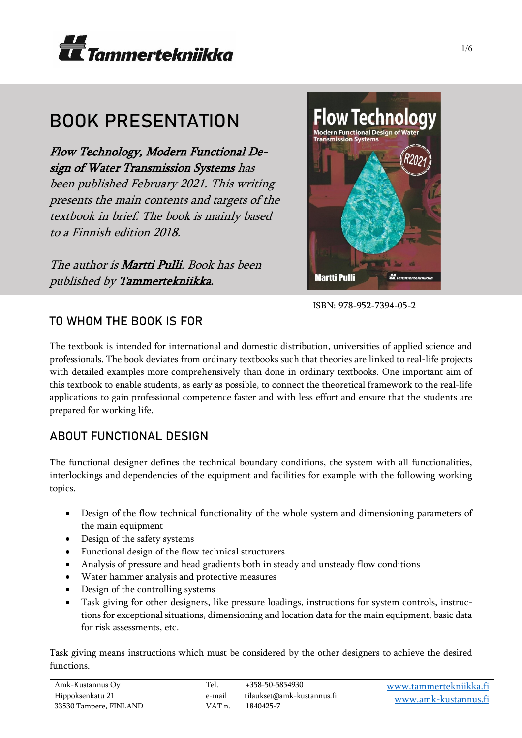

# BOOK PRESENTATION

Flow Technology, Modern Functional Design of Water Transmission Systems has been published February 2021. This writing presents the main contents and targets of the textbook in brief. The book is mainly based to a Finnish edition 2018.

The author is Martti Pulli. Book has been published by Tammertekniikka.



ISBN: 978-952-7394-05-2

# TO WHOM THE BOOK IS FOR

The textbook is intended for international and domestic distribution, universities of applied science and professionals. The book deviates from ordinary textbooks such that theories are linked to real-life projects with detailed examples more comprehensively than done in ordinary textbooks. One important aim of this textbook to enable students, as early as possible, to connect the theoretical framework to the real-life applications to gain professional competence faster and with less effort and ensure that the students are prepared for working life.

# ABOUT FUNCTIONAL DESIGN

The functional designer defines the technical boundary conditions, the system with all functionalities, interlockings and dependencies of the equipment and facilities for example with the following working topics.

- Design of the flow technical functionality of the whole system and dimensioning parameters of the main equipment
- Design of the safety systems
- Functional design of the flow technical structurers
- Analysis of pressure and head gradients both in steady and unsteady flow conditions
- Water hammer analysis and protective measures
- Design of the controlling systems
- Task giving for other designers, like pressure loadings, instructions for system controls, instructions for exceptional situations, dimensioning and location data for the main equipment, basic data for risk assessments, etc.

Task giving means instructions which must be considered by the other designers to achieve the desired functions.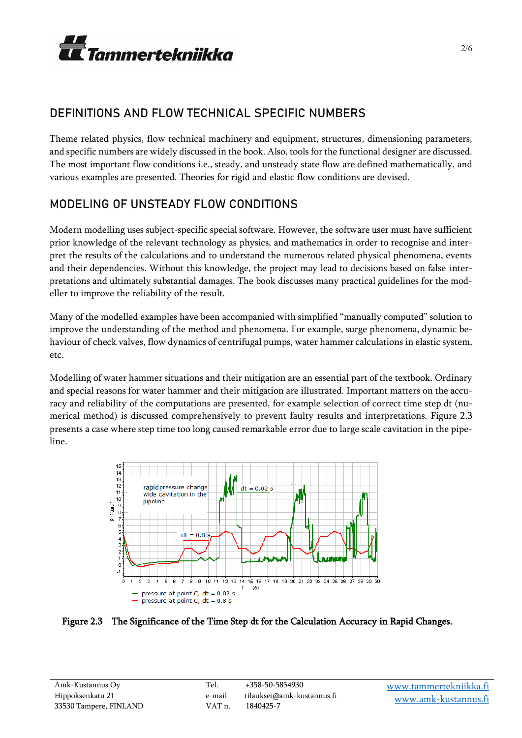

# DEFINITIONS AND FLOW TECHNICAL SPECIFIC NUMBERS

Theme related physics, flow technical machinery and equipment, structures, dimensioning parameters, and specific numbers are widely discussed in the book. Also, tools for the functional designer are discussed. The most important flow conditions i.e., steady, and unsteady state flow are defined mathematically, and various examples are presented. Theories for rigid and elastic flow conditions are devised.

# MODELING OF UNSTEADY FLOW CONDITIONS

Modern modelling uses subject-specific special software. However, the software user must have sufficient prior knowledge of the relevant technology as physics, and mathematics in order to recognise and interpret the results of the calculations and to understand the numerous related physical phenomena, events and their dependencies. Without this knowledge, the project may lead to decisions based on false interpretations and ultimately substantial damages. The book discusses many practical guidelines for the modeller to improve the reliability of the result.

Many of the modelled examples have been accompanied with simplified "manually computed" solution to improve the understanding of the method and phenomena. For example, surge phenomena, dynamic behaviour of check valves, flow dynamics of centrifugal pumps, water hammer calculations in elastic system, etc.

Modelling of water hammer situations and their mitigation are an essential part of the textbook. Ordinary and special reasons for water hammer and their mitigation are illustrated. Important matters on the accuracy and reliability of the computations are presented, for example selection of correct time step dt (numerical method) is discussed comprehensively to prevent faulty results and interpretations. Figure 2.3 presents a case where step time too long caused remarkable error due to large scale cavitation in the pipeline.



Figure 2.3 The Significance of the Time Step dt for the Calculation Accuracy in Rapid Changes.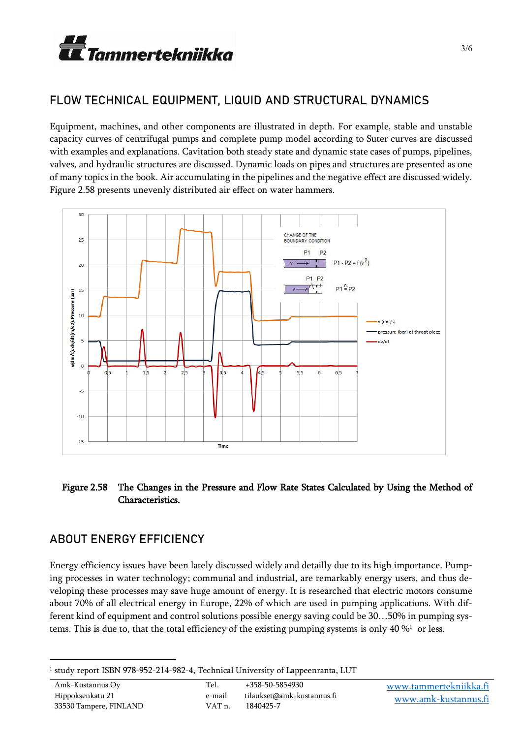

### FLOW TECHNICAL EQUIPMENT, LIQUID AND STRUCTURAL DYNAMICS

Equipment, machines, and other components are illustrated in depth. For example, stable and unstable capacity curves of centrifugal pumps and complete pump model according to Suter curves are discussed with examples and explanations. Cavitation both steady state and dynamic state cases of pumps, pipelines, valves, and hydraulic structures are discussed. Dynamic loads on pipes and structures are presented as one of many topics in the book. Air accumulating in the pipelines and the negative effect are discussed widely. Figure 2.58 presents unevenly distributed air effect on water hammers.



#### Figure 2.58 The Changes in the Pressure and Flow Rate States Calculated by Using the Method of Characteristics.

#### ABOUT ENERGY EFFICIENCY

Energy efficiency issues have been lately discussed widely and detailly due to its high importance. Pumping processes in water technology; communal and industrial, are remarkably energy users, and thus developing these processes may save huge amount of energy. It is researched that electric motors consume about 70% of all electrical energy in Europe, 22% of which are used in pumping applications. With different kind of equipment and control solutions possible energy saving could be 30…50% in pumping systems. This is due to, that the total efficiency of the existing pumping systems is only 40 %<sup>1</sup> or less.

<sup>1</sup> study report ISBN 978-952-214-982-4, Technical University of Lappeenranta, LUT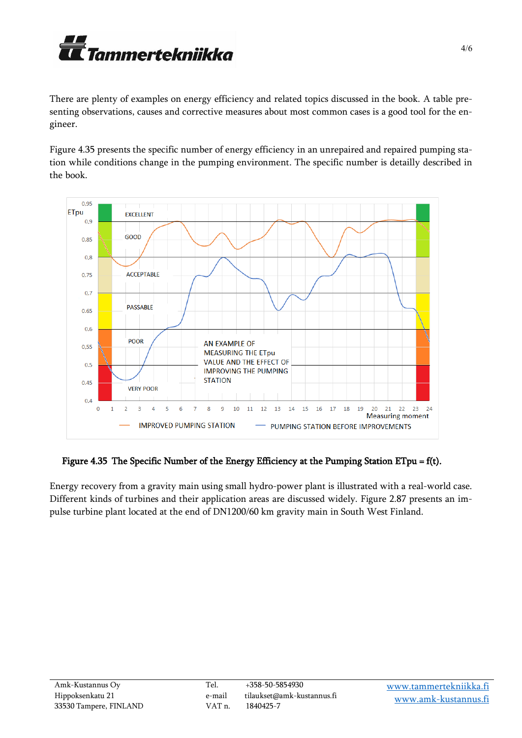

There are plenty of examples on energy efficiency and related topics discussed in the book. A table presenting observations, causes and corrective measures about most common cases is a good tool for the engineer.

Figure 4.35 presents the specific number of energy efficiency in an unrepaired and repaired pumping station while conditions change in the pumping environment. The specific number is detailly described in the book.



#### Figure 4.35 The Specific Number of the Energy Efficiency at the Pumping Station ETpu = f(t).

Energy recovery from a gravity main using small hydro-power plant is illustrated with a real-world case. Different kinds of turbines and their application areas are discussed widely. Figure 2.87 presents an impulse turbine plant located at the end of DN1200/60 km gravity main in South West Finland.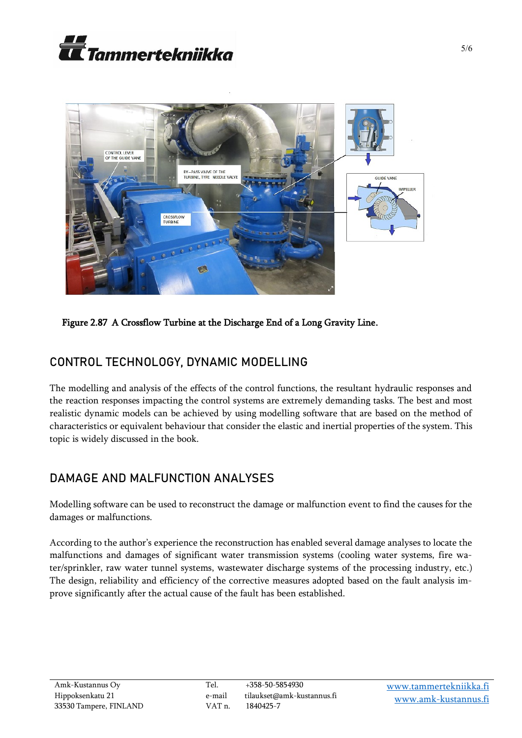



Figure 2.87 A Crossflow Turbine at the Discharge End of a Long Gravity Line.

# CONTROL TECHNOLOGY, DYNAMIC MODELLING

The modelling and analysis of the effects of the control functions, the resultant hydraulic responses and the reaction responses impacting the control systems are extremely demanding tasks. The best and most realistic dynamic models can be achieved by using modelling software that are based on the method of characteristics or equivalent behaviour that consider the elastic and inertial properties of the system. This topic is widely discussed in the book.

# DAMAGE AND MALFUNCTION ANALYSES

Modelling software can be used to reconstruct the damage or malfunction event to find the causes for the damages or malfunctions.

According to the author's experience the reconstruction has enabled several damage analyses to locate the malfunctions and damages of significant water transmission systems (cooling water systems, fire water/sprinkler, raw water tunnel systems, wastewater discharge systems of the processing industry, etc.) The design, reliability and efficiency of the corrective measures adopted based on the fault analysis improve significantly after the actual cause of the fault has been established.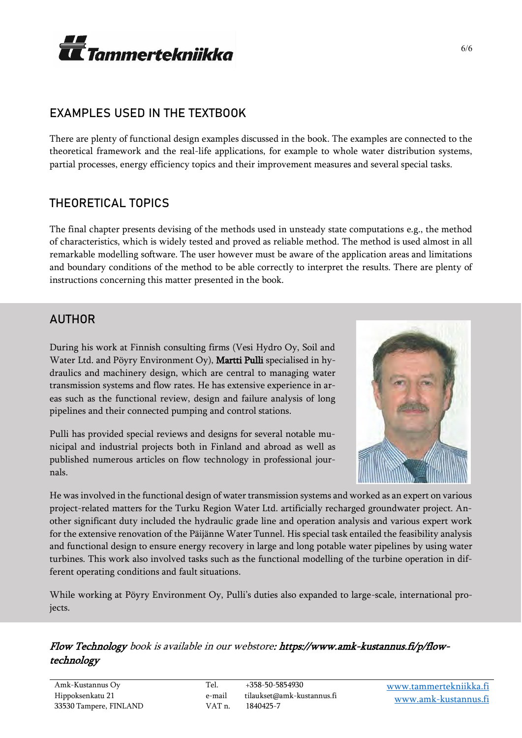

#### EXAMPLES USED IN THE TEXTBOOK

There are plenty of functional design examples discussed in the book. The examples are connected to the theoretical framework and the real-life applications, for example to whole water distribution systems, partial processes, energy efficiency topics and their improvement measures and several special tasks.

#### THEORETICAL TOPICS

The final chapter presents devising of the methods used in unsteady state computations e.g., the method of characteristics, which is widely tested and proved as reliable method. The method is used almost in all remarkable modelling software. The user however must be aware of the application areas and limitations and boundary conditions of the method to be able correctly to interpret the results. There are plenty of instructions concerning this matter presented in the book.

#### AUTHOR

During his work at Finnish consulting firms (Vesi Hydro Oy, Soil and Water Ltd. and Pöyry Environment Oy), Martti Pulli specialised in hydraulics and machinery design, which are central to managing water transmission systems and flow rates. He has extensive experience in areas such as the functional review, design and failure analysis of long pipelines and their connected pumping and control stations.

Pulli has provided special reviews and designs for several notable municipal and industrial projects both in Finland and abroad as well as published numerous articles on flow technology in professional journals.



He was involved in the functional design of water transmission systems and worked as an expert on various project-related matters for the Turku Region Water Ltd. artificially recharged groundwater project. Another significant duty included the hydraulic grade line and operation analysis and various expert work for the extensive renovation of the Päijänne Water Tunnel. His special task entailed the feasibility analysis and functional design to ensure energy recovery in large and long potable water pipelines by using water turbines. This work also involved tasks such as the functional modelling of the turbine operation in different operating conditions and fault situations.

While working at Pöyry Environment Oy, Pulli's duties also expanded to large-scale, international projects.

#### Flow Technology book is available in our webstore: https://www.amk-kustannus.fi/p/flowtechnology

Amk-Kustannus Oy Hippoksenkatu 21 33530 Tampere, FINLAND

VAT n. 1840425-7

[www.tammertekniikka.fi](http://www.tammertekniikka.fi/) [www.amk-kustannus.fi](http://www.amk-kustannus.fi/)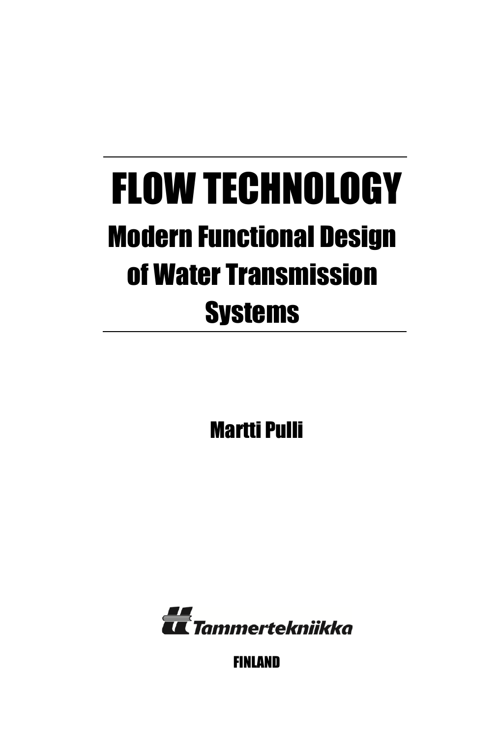# FLOW TECHNOLOGY Modern Functional Design of Water Transmission **Systems**

Martti Pulli



FINLAND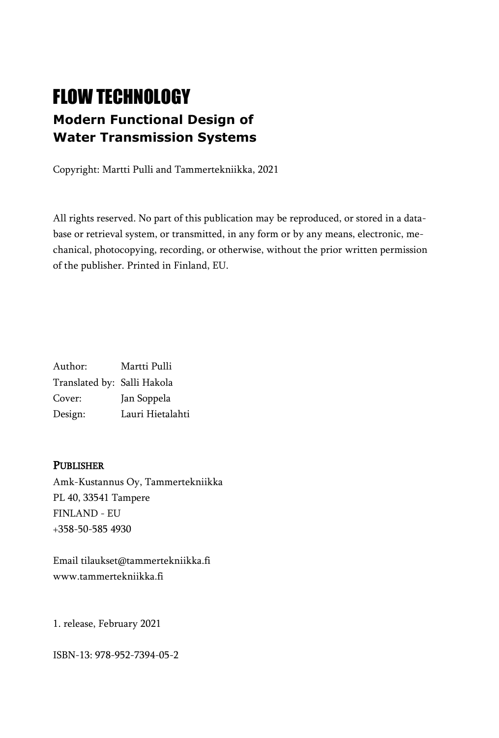# FLOW TECHNOLOGY **Modern Functional Design of Water Transmission Systems**

Copyright: Martti Pulli and Tammertekniikka, 2021

All rights reserved. No part of this publication may be reproduced, or stored in a database or retrieval system, or transmitted, in any form or by any means, electronic, mechanical, photocopying, recording, or otherwise, without the prior written permission of the publisher. Printed in Finland, EU.

Author: Martti Pulli Translated by: Salli Hakola Cover: Jan Soppela Design: Lauri Hietalahti

#### **PUBLISHER**

Amk-Kustannus Oy, Tammertekniikka PL 40, 33541 Tampere FINLAND - EU +358-50-585 4930

Email tilaukset@tammertekniikka.fi www.tammertekniikka.fi

1. release, February 2021

ISBN-13: 978-952-7394-05-2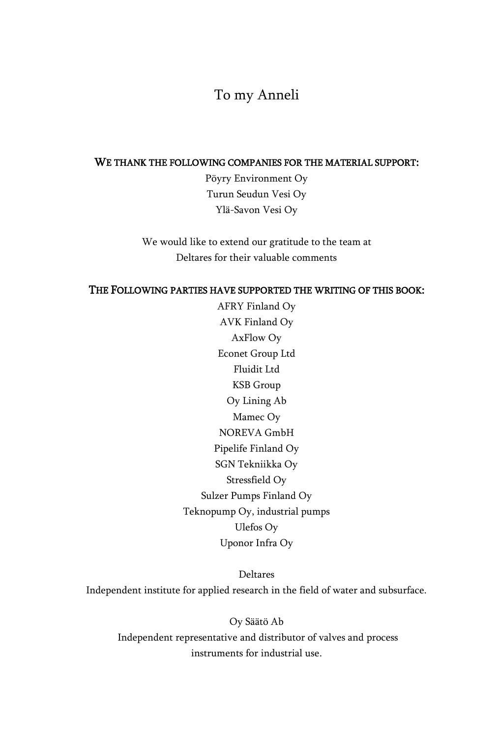#### To my Anneli

#### WE THANK THE FOLLOWING COMPANIES FOR THE MATERIAL SUPPORT:

Pöyry Environment Oy Turun Seudun Vesi Oy Ylä-Savon Vesi Oy

We would like to extend our gratitude to the team at Deltares for their valuable comments

#### THE FOLLOWING PARTIES HAVE SUPPORTED THE WRITING OF THIS BOOK:

AFRY Finland Oy AVK Finland Oy AxFlow Oy Econet Group Ltd Fluidit Ltd KSB Group Oy Lining Ab Mamec Oy NOREVA GmbH Pipelife Finland Oy SGN Tekniikka Oy Stressfield Oy Sulzer Pumps Finland Oy Teknopump Oy, industrial pumps Ulefos Oy Uponor Infra Oy

Deltares Independent institute for applied research in the field of water and subsurface.

Oy Säätö Ab Independent representative and distributor of valves and process instruments for industrial use.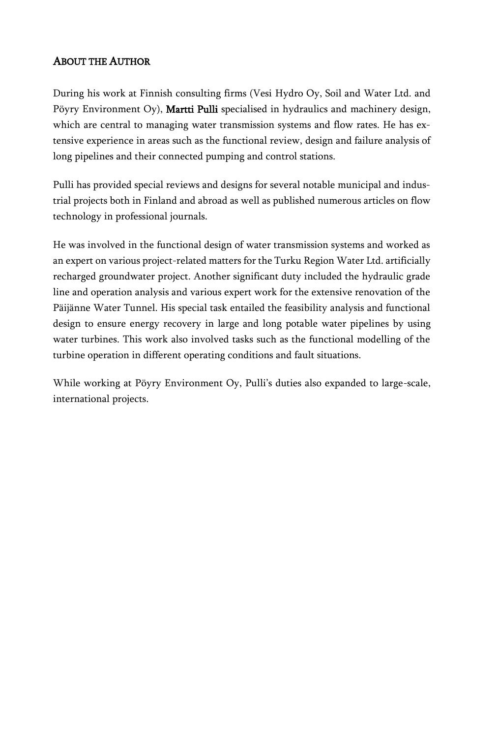#### ABOUT THE AUTHOR

During his work at Finnish consulting firms (Vesi Hydro Oy, Soil and Water Ltd. and Pöyry Environment Oy), Martti Pulli specialised in hydraulics and machinery design, which are central to managing water transmission systems and flow rates. He has extensive experience in areas such as the functional review, design and failure analysis of long pipelines and their connected pumping and control stations.

Pulli has provided special reviews and designs for several notable municipal and industrial projects both in Finland and abroad as well as published numerous articles on flow technology in professional journals.

He was involved in the functional design of water transmission systems and worked as an expert on various project-related matters for the Turku Region Water Ltd. artificially recharged groundwater project. Another significant duty included the hydraulic grade line and operation analysis and various expert work for the extensive renovation of the Päijänne Water Tunnel. His special task entailed the feasibility analysis and functional design to ensure energy recovery in large and long potable water pipelines by using water turbines. This work also involved tasks such as the functional modelling of the turbine operation in different operating conditions and fault situations.

While working at Pöyry Environment Oy, Pulli's duties also expanded to large-scale, international projects.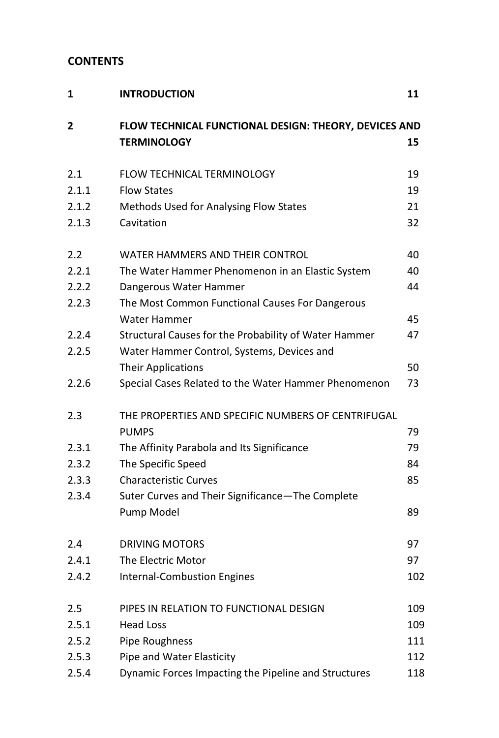#### **CONTENTS**

| 1              | <b>INTRODUCTION</b>                                                         | 11  |
|----------------|-----------------------------------------------------------------------------|-----|
| $\overline{2}$ | FLOW TECHNICAL FUNCTIONAL DESIGN: THEORY, DEVICES AND<br><b>TERMINOLOGY</b> | 15  |
| 2.1            | FLOW TECHNICAL TERMINOLOGY                                                  | 19  |
| 2.1.1          | <b>Flow States</b>                                                          | 19  |
| 2.1.2          | Methods Used for Analysing Flow States                                      | 21  |
| 2.1.3          | Cavitation                                                                  | 32  |
| 2.2            | WATER HAMMERS AND THEIR CONTROL                                             | 40  |
| 2.2.1          | The Water Hammer Phenomenon in an Elastic System                            | 40  |
| 2.2.2          | Dangerous Water Hammer                                                      | 44  |
| 2.2.3          | The Most Common Functional Causes For Dangerous                             |     |
|                | <b>Water Hammer</b>                                                         | 45  |
| 2.2.4          | Structural Causes for the Probability of Water Hammer                       | 47  |
| 2.2.5          | Water Hammer Control, Systems, Devices and                                  |     |
|                | <b>Their Applications</b>                                                   | 50  |
| 2.2.6          | Special Cases Related to the Water Hammer Phenomenon                        | 73  |
| 2.3            | THE PROPERTIES AND SPECIFIC NUMBERS OF CENTRIFUGAL                          |     |
|                | <b>PUMPS</b>                                                                | 79  |
| 2.3.1          | The Affinity Parabola and Its Significance                                  | 79  |
| 2.3.2          | The Specific Speed                                                          | 84  |
| 2.3.3          | <b>Characteristic Curves</b>                                                | 85  |
| 2.3.4          | Suter Curves and Their Significance-The Complete                            |     |
|                | Pump Model                                                                  | 89  |
| 2.4            | <b>DRIVING MOTORS</b>                                                       | 97  |
| 2.4.1          | The Electric Motor                                                          | 97  |
| 2.4.2          | <b>Internal-Combustion Engines</b>                                          | 102 |
| 2.5            | PIPES IN RELATION TO FUNCTIONAL DESIGN                                      | 109 |
| 2.5.1          | <b>Head Loss</b>                                                            | 109 |
| 2.5.2          | Pipe Roughness                                                              | 111 |
| 2.5.3          | Pipe and Water Elasticity                                                   | 112 |
| 2.5.4          | Dynamic Forces Impacting the Pipeline and Structures                        | 118 |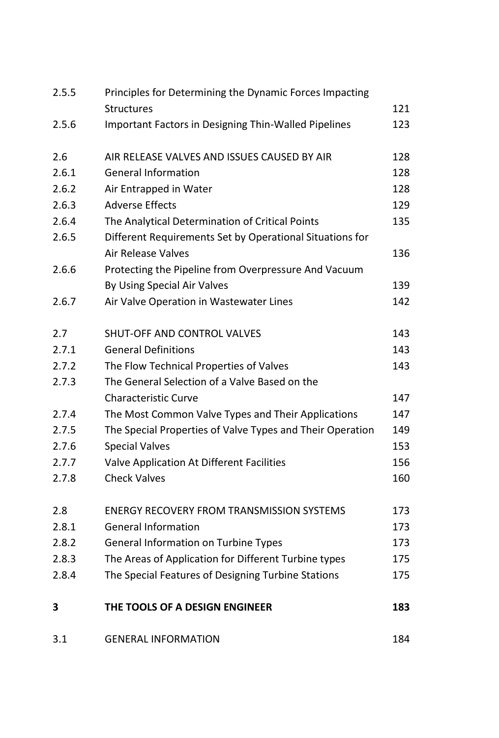| 2.5.5 | Principles for Determining the Dynamic Forces Impacting     |     |
|-------|-------------------------------------------------------------|-----|
|       | <b>Structures</b>                                           | 121 |
| 2.5.6 | <b>Important Factors in Designing Thin-Walled Pipelines</b> | 123 |
| 2.6   | AIR RELEASE VALVES AND ISSUES CAUSED BY AIR                 | 128 |
| 2.6.1 | <b>General Information</b>                                  | 128 |
| 2.6.2 | Air Entrapped in Water                                      | 128 |
| 2.6.3 | <b>Adverse Effects</b>                                      | 129 |
| 2.6.4 | The Analytical Determination of Critical Points             | 135 |
| 2.6.5 | Different Requirements Set by Operational Situations for    |     |
|       | <b>Air Release Valves</b>                                   | 136 |
| 2.6.6 | Protecting the Pipeline from Overpressure And Vacuum        |     |
|       | By Using Special Air Valves                                 | 139 |
| 2.6.7 | Air Valve Operation in Wastewater Lines                     | 142 |
| 2.7   | SHUT-OFF AND CONTROL VALVES                                 | 143 |
| 2.7.1 | <b>General Definitions</b>                                  | 143 |
| 2.7.2 | The Flow Technical Properties of Valves                     | 143 |
| 2.7.3 | The General Selection of a Valve Based on the               |     |
|       | <b>Characteristic Curve</b>                                 | 147 |
| 2.7.4 | The Most Common Valve Types and Their Applications          | 147 |
| 2.7.5 | The Special Properties of Valve Types and Their Operation   | 149 |
| 2.7.6 | <b>Special Valves</b>                                       | 153 |
| 2.7.7 | Valve Application At Different Facilities                   | 156 |
| 2.7.8 | <b>Check Valves</b>                                         | 160 |
| 2.8   | <b>ENERGY RECOVERY FROM TRANSMISSION SYSTEMS</b>            | 173 |
| 2.8.1 | <b>General Information</b>                                  | 173 |
| 2.8.2 | <b>General Information on Turbine Types</b>                 | 173 |
| 2.8.3 | The Areas of Application for Different Turbine types        | 175 |
| 2.8.4 | The Special Features of Designing Turbine Stations          | 175 |
| 3     | THE TOOLS OF A DESIGN ENGINEER                              | 183 |
| 3.1   | <b>GENERAL INFORMATION</b>                                  | 184 |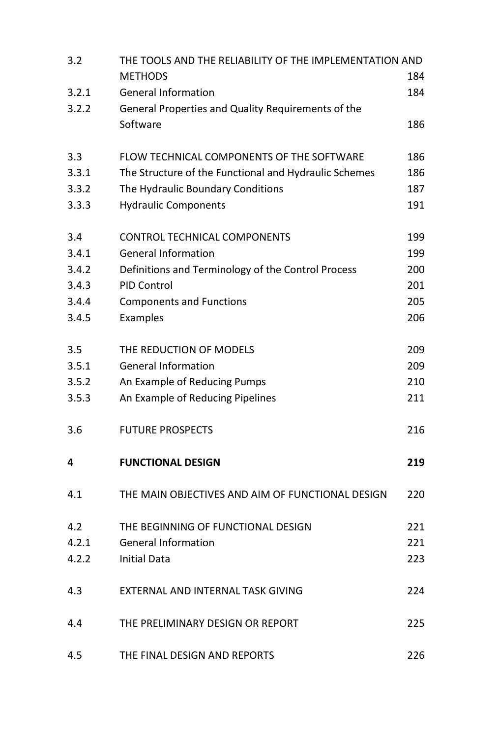| 3.2   | THE TOOLS AND THE RELIABILITY OF THE IMPLEMENTATION AND        |     |
|-------|----------------------------------------------------------------|-----|
| 3.2.1 | <b>METHODS</b><br><b>General Information</b>                   | 184 |
| 3.2.2 |                                                                | 184 |
|       | General Properties and Quality Requirements of the<br>Software | 186 |
|       |                                                                |     |
| 3.3   | FLOW TECHNICAL COMPONENTS OF THE SOFTWARE                      | 186 |
| 3.3.1 | The Structure of the Functional and Hydraulic Schemes          | 186 |
| 3.3.2 | The Hydraulic Boundary Conditions                              | 187 |
| 3.3.3 | <b>Hydraulic Components</b>                                    | 191 |
| 3.4   | <b>CONTROL TECHNICAL COMPONENTS</b>                            | 199 |
| 3.4.1 | <b>General Information</b>                                     | 199 |
| 3.4.2 | Definitions and Terminology of the Control Process             | 200 |
| 3.4.3 | <b>PID Control</b>                                             | 201 |
| 3.4.4 | <b>Components and Functions</b>                                | 205 |
| 3.4.5 | Examples                                                       | 206 |
| 3.5   | THE REDUCTION OF MODELS                                        | 209 |
| 3.5.1 | <b>General Information</b>                                     | 209 |
| 3.5.2 | An Example of Reducing Pumps                                   | 210 |
| 3.5.3 | An Example of Reducing Pipelines                               | 211 |
| 3.6   | <b>FUTURE PROSPECTS</b>                                        | 216 |
| 4     | <b>FUNCTIONAL DESIGN</b>                                       | 219 |
| 4.1   | THE MAIN OBJECTIVES AND AIM OF FUNCTIONAL DESIGN               | 220 |
| 4.2   | THE BEGINNING OF FUNCTIONAL DESIGN                             | 221 |
| 4.2.1 | <b>General Information</b>                                     | 221 |
| 4.2.2 | <b>Initial Data</b>                                            | 223 |
| 4.3   | EXTERNAL AND INTERNAL TASK GIVING                              | 224 |
| 4.4   | THE PRELIMINARY DESIGN OR REPORT                               | 225 |
| 4.5   | THE FINAL DESIGN AND REPORTS                                   | 226 |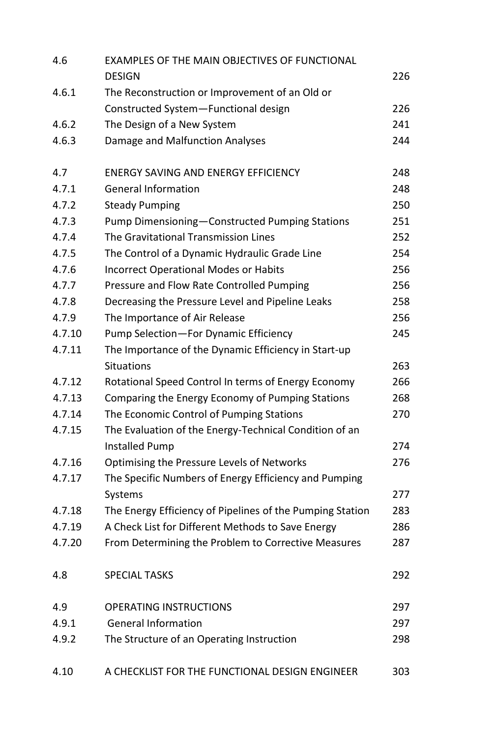| 4.6    | EXAMPLES OF THE MAIN OBJECTIVES OF FUNCTIONAL             |     |
|--------|-----------------------------------------------------------|-----|
|        | <b>DESIGN</b>                                             | 226 |
| 4.6.1  | The Reconstruction or Improvement of an Old or            |     |
|        | Constructed System-Functional design                      | 226 |
| 4.6.2  | The Design of a New System                                | 241 |
| 4.6.3  | Damage and Malfunction Analyses                           | 244 |
| 4.7    | <b>ENERGY SAVING AND ENERGY EFFICIENCY</b>                | 248 |
| 4.7.1  | <b>General Information</b>                                | 248 |
| 4.7.2  | <b>Steady Pumping</b>                                     | 250 |
| 4.7.3  | Pump Dimensioning-Constructed Pumping Stations            | 251 |
| 4.7.4  | The Gravitational Transmission Lines                      | 252 |
| 4.7.5  | The Control of a Dynamic Hydraulic Grade Line             | 254 |
| 4.7.6  | <b>Incorrect Operational Modes or Habits</b>              | 256 |
| 4.7.7  | Pressure and Flow Rate Controlled Pumping                 | 256 |
| 4.7.8  | Decreasing the Pressure Level and Pipeline Leaks          | 258 |
| 4.7.9  | The Importance of Air Release                             | 256 |
| 4.7.10 | Pump Selection-For Dynamic Efficiency                     | 245 |
| 4.7.11 | The Importance of the Dynamic Efficiency in Start-up      |     |
|        | <b>Situations</b>                                         | 263 |
| 4.7.12 | Rotational Speed Control In terms of Energy Economy       | 266 |
| 4.7.13 | Comparing the Energy Economy of Pumping Stations          | 268 |
| 4.7.14 | The Economic Control of Pumping Stations                  | 270 |
| 4.7.15 | The Evaluation of the Energy-Technical Condition of an    |     |
|        | <b>Installed Pump</b>                                     | 274 |
| 4.7.16 | Optimising the Pressure Levels of Networks                | 276 |
| 4.7.17 | The Specific Numbers of Energy Efficiency and Pumping     |     |
|        | Systems                                                   | 277 |
| 4.7.18 | The Energy Efficiency of Pipelines of the Pumping Station | 283 |
| 4.7.19 | A Check List for Different Methods to Save Energy         | 286 |
| 4.7.20 | From Determining the Problem to Corrective Measures       | 287 |
| 4.8    | <b>SPECIAL TASKS</b>                                      | 292 |
| 4.9    | <b>OPERATING INSTRUCTIONS</b>                             | 297 |
| 4.9.1  | <b>General Information</b>                                | 297 |
| 4.9.2  | The Structure of an Operating Instruction                 | 298 |
| 4.10   | A CHECKLIST FOR THE FUNCTIONAL DESIGN ENGINEER            | 303 |